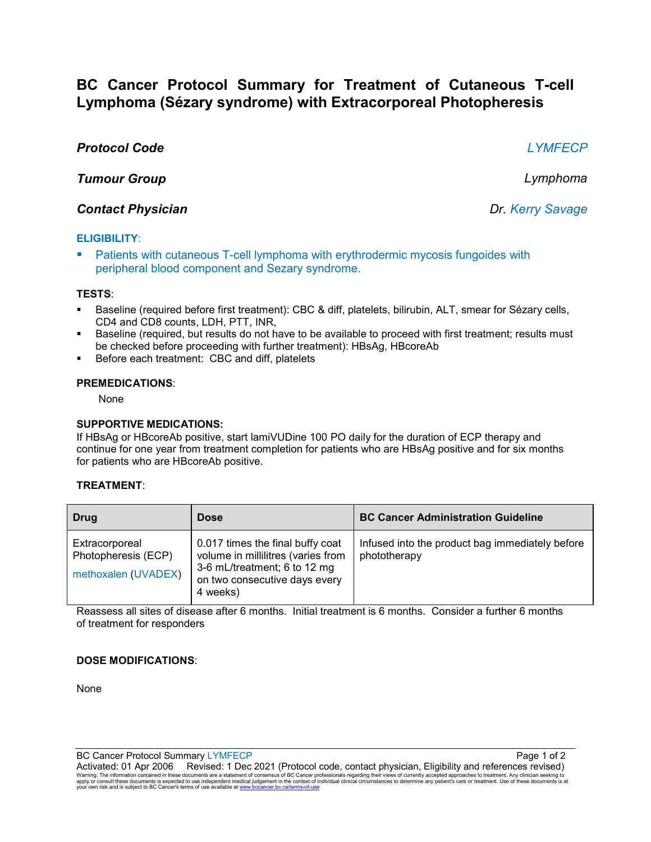# **BC Cancer Protocol Summary for Treatment of Cutaneous T-cell Lymphoma (Sézary syndrome) with Extracorporeal Photopheresis**

# *Protocol Code LYMFECP*

*Tumour Group Lymphoma*

## *Contact Physician Dr. Kerry Savage*

## **ELIGIBILITY**:

 Patients with cutaneous T-cell lymphoma with erythrodermic mycosis fungoides with peripheral blood component and Sezary syndrome.

### **TESTS**:

- Baseline (required before first treatment): CBC & diff, platelets, bilirubin, ALT, smear for Sézary cells, CD4 and CD8 counts, LDH, PTT, INR,
- Baseline (required, but results do not have to be available to proceed with first treatment; results must be checked before proceeding with further treatment): HBsAg, HBcoreAb
- **Before each treatment: CBC and diff, platelets**

#### **PREMEDICATIONS**:

None

#### **SUPPORTIVE MEDICATIONS:**

If HBsAg or HBcoreAb positive, start lamiVUDine 100 PO daily for the duration of ECP therapy and continue for one year from treatment completion for patients who are HBsAg positive and for six months for patients who are HBcoreAb positive.

### **TREATMENT**:

| Drug                                                         | <b>Dose</b>                                                                                                                                         | <b>BC Cancer Administration Guideline</b>                       |
|--------------------------------------------------------------|-----------------------------------------------------------------------------------------------------------------------------------------------------|-----------------------------------------------------------------|
| Extracorporeal<br>Photopheresis (ECP)<br>methoxalen (UVADEX) | 0.017 times the final buffy coat<br>volume in millilitres (varies from<br>3-6 mL/treatment; 6 to 12 mg<br>on two consecutive days every<br>4 weeks) | Infused into the product bag immediately before<br>phototherapy |

Reassess all sites of disease after 6 months. Initial treatment is 6 months. Consider a further 6 months of treatment for responders

### **DOSE MODIFICATIONS**:

None

BC Cancer Protocol Summary LYMFECP **Page 1 of 2** and 2